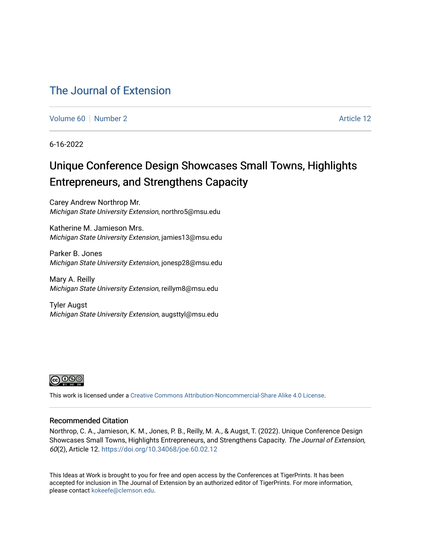### [The Journal of Extension](https://tigerprints.clemson.edu/joe)

[Volume 60](https://tigerprints.clemson.edu/joe/vol60) [Number 2](https://tigerprints.clemson.edu/joe/vol60/iss2) Article 12

6-16-2022

## Unique Conference Design Showcases Small Towns, Highlights Entrepreneurs, and Strengthens Capacity

Carey Andrew Northrop Mr. Michigan State University Extension, northro5@msu.edu

Katherine M. Jamieson Mrs. Michigan State University Extension, jamies13@msu.edu

Parker B. Jones Michigan State University Extension, jonesp28@msu.edu

Mary A. Reilly Michigan State University Extension, reillym8@msu.edu

Tyler Augst Michigan State University Extension, augsttyl@msu.edu



This work is licensed under a [Creative Commons Attribution-Noncommercial-Share Alike 4.0 License.](https://creativecommons.org/licenses/by-nc-sa/4.0/)

#### Recommended Citation

Northrop, C. A., Jamieson, K. M., Jones, P. B., Reilly, M. A., & Augst, T. (2022). Unique Conference Design Showcases Small Towns, Highlights Entrepreneurs, and Strengthens Capacity. The Journal of Extension, 60(2), Article 12. <https://doi.org/10.34068/joe.60.02.12>

This Ideas at Work is brought to you for free and open access by the Conferences at TigerPrints. It has been accepted for inclusion in The Journal of Extension by an authorized editor of TigerPrints. For more information, please contact [kokeefe@clemson.edu](mailto:kokeefe@clemson.edu).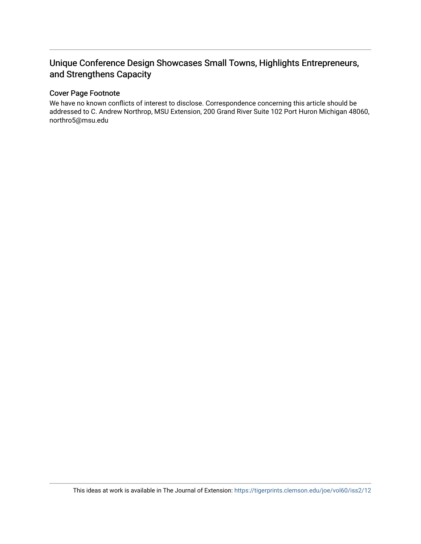### Unique Conference Design Showcases Small Towns, Highlights Entrepreneurs, and Strengthens Capacity

#### Cover Page Footnote

We have no known conflicts of interest to disclose. Correspondence concerning this article should be addressed to C. Andrew Northrop, MSU Extension, 200 Grand River Suite 102 Port Huron Michigan 48060, northro5@msu.edu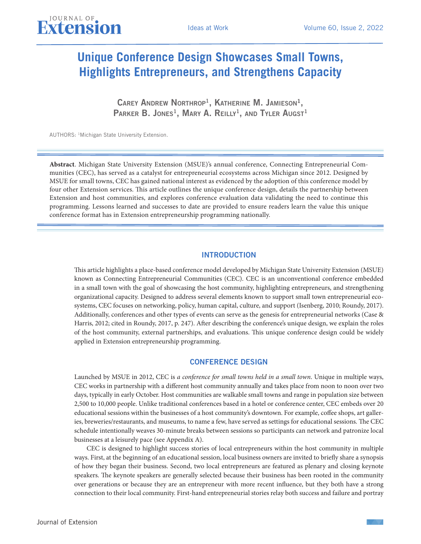# **Unique Conference Design Showcases Small Towns, Highlights Entrepreneurs, and Strengthens Capacity**

CAREY ANDREW NORTHROP<sup>1</sup>, KATHERINE M. JAMIESON<sup>1</sup>, PARKER B. JONES<sup>1</sup>, MARY A. REILLY<sup>1</sup>, AND TYLER AUGST<sup>1</sup>

AUTHORS: 1Michigan State University Extension.

JOURNAL OF

**Abstract**. Michigan State University Extension (MSUE)'s annual conference, Connecting Entrepreneurial Communities (CEC), has served as a catalyst for entrepreneurial ecosystems across Michigan since 2012. Designed by MSUE for small towns, CEC has gained national interest as evidenced by the adoption of this conference model by four other Extension services. This article outlines the unique conference design, details the partnership between Extension and host communities, and explores conference evaluation data validating the need to continue this programming. Lessons learned and successes to date are provided to ensure readers learn the value this unique conference format has in Extension entrepreneurship programming nationally.

#### INTRODUCTION

This article highlights a place-based conference model developed by Michigan State University Extension (MSUE) known as Connecting Entrepreneurial Communities (CEC). CEC is an unconventional conference embedded in a small town with the goal of showcasing the host community, highlighting entrepreneurs, and strengthening organizational capacity. Designed to address several elements known to support small town entrepreneurial ecosystems, CEC focuses on networking, policy, human capital, culture, and support (Isenberg, 2010; Roundy, 2017). Additionally, conferences and other types of events can serve as the genesis for entrepreneurial networks (Case & Harris, 2012; cited in Roundy, 2017, p. 247). After describing the conference's unique design, we explain the roles of the host community, external partnerships, and evaluations. This unique conference design could be widely applied in Extension entrepreneurship programming.

#### CONFERENCE DESIGN

Launched by MSUE in 2012, CEC is *a conference for small towns held in a small town*. Unique in multiple ways, CEC works in partnership with a different host community annually and takes place from noon to noon over two days, typically in early October. Host communities are walkable small towns and range in population size between 2,500 to 10,000 people. Unlike traditional conferences based in a hotel or conference center, CEC embeds over 20 educational sessions within the businesses of a host community's downtown. For example, coffee shops, art galleries, breweries/restaurants, and museums, to name a few, have served as settings for educational sessions. The CEC schedule intentionally weaves 30-minute breaks between sessions so participants can network and patronize local businesses at a leisurely pace (see Appendix A).

CEC is designed to highlight success stories of local entrepreneurs within the host community in multiple ways. First, at the beginning of an educational session, local business owners are invited to briefly share a synopsis of how they began their business. Second, two local entrepreneurs are featured as plenary and closing keynote speakers. The keynote speakers are generally selected because their business has been rooted in the community over generations or because they are an entrepreneur with more recent influence, but they both have a strong connection to their local community. First-hand entrepreneurial stories relay both success and failure and portray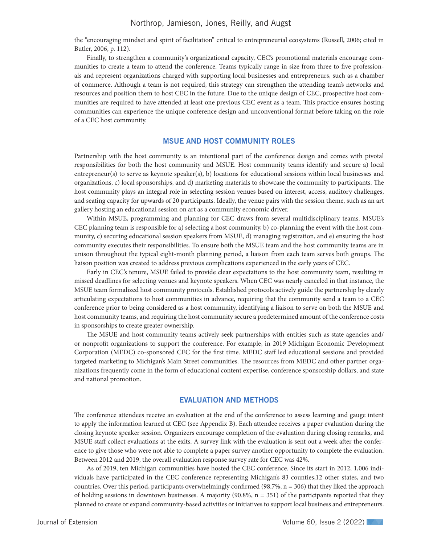the "encouraging mindset and spirit of facilitation" critical to entrepreneurial ecosystems (Russell, 2006; cited in Butler, 2006, p. 112).

Finally, to strengthen a community's organizational capacity, CEC's promotional materials encourage communities to create a team to attend the conference. Teams typically range in size from three to five professionals and represent organizations charged with supporting local businesses and entrepreneurs, such as a chamber of commerce. Although a team is not required, this strategy can strengthen the attending team's networks and resources and position them to host CEC in the future. Due to the unique design of CEC, prospective host communities are required to have attended at least one previous CEC event as a team. This practice ensures hosting communities can experience the unique conference design and unconventional format before taking on the role of a CEC host community.

#### MSUE AND HOST COMMUNITY ROLES

Partnership with the host community is an intentional part of the conference design and comes with pivotal responsibilities for both the host community and MSUE. Host community teams identify and secure a) local entrepreneur(s) to serve as keynote speaker(s), b) locations for educational sessions within local businesses and organizations, c) local sponsorships, and d) marketing materials to showcase the community to participants. The host community plays an integral role in selecting session venues based on interest, access, auditory challenges, and seating capacity for upwards of 20 participants. Ideally, the venue pairs with the session theme, such as an art gallery hosting an educational session on art as a community economic driver.

Within MSUE, programming and planning for CEC draws from several multidisciplinary teams. MSUE's CEC planning team is responsible for a) selecting a host community, b) co-planning the event with the host community, c) securing educational session speakers from MSUE, d) managing registration, and e) ensuring the host community executes their responsibilities. To ensure both the MSUE team and the host community teams are in unison throughout the typical eight-month planning period, a liaison from each team serves both groups. The liaison position was created to address previous complications experienced in the early years of CEC.

Early in CEC's tenure, MSUE failed to provide clear expectations to the host community team, resulting in missed deadlines for selecting venues and keynote speakers. When CEC was nearly canceled in that instance, the MSUE team formalized host community protocols. Established protocols actively guide the partnership by clearly articulating expectations to host communities in advance, requiring that the community send a team to a CEC conference prior to being considered as a host community, identifying a liaison to serve on both the MSUE and host community teams, and requiring the host community secure a predetermined amount of the conference costs in sponsorships to create greater ownership.

The MSUE and host community teams actively seek partnerships with entities such as state agencies and/ or nonprofit organizations to support the conference. For example, in 2019 Michigan Economic Development Corporation (MEDC) co-sponsored CEC for the first time. MEDC staff led educational sessions and provided targeted marketing to Michigan's Main Street communities. The resources from MEDC and other partner organizations frequently come in the form of educational content expertise, conference sponsorship dollars, and state and national promotion.

#### EVALUATION AND METHODS

The conference attendees receive an evaluation at the end of the conference to assess learning and gauge intent to apply the information learned at CEC (see Appendix B). Each attendee receives a paper evaluation during the closing keynote speaker session. Organizers encourage completion of the evaluation during closing remarks, and MSUE staff collect evaluations at the exits. A survey link with the evaluation is sent out a week after the conference to give those who were not able to complete a paper survey another opportunity to complete the evaluation. Between 2012 and 2019, the overall evaluation response survey rate for CEC was 42%.

As of 2019, ten Michigan communities have hosted the CEC conference. Since its start in 2012, 1,006 individuals have participated in the CEC conference representing Michigan's 83 counties,12 other states, and two countries. Over this period, participants overwhelmingly confirmed (98.7%, n = 306) that they liked the approach of holding sessions in downtown businesses. A majority (90.8%, n = 351) of the participants reported that they planned to create or expand community-based activities or initiatives to support local business and entrepreneurs.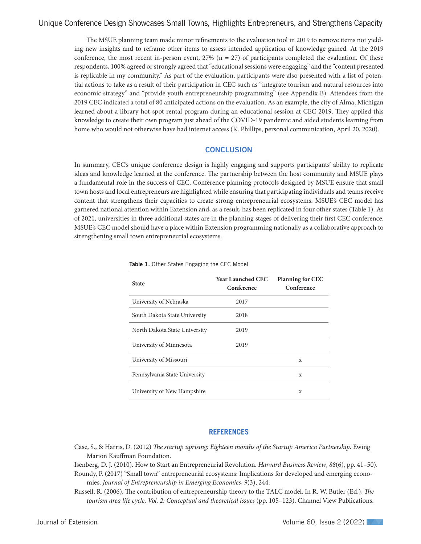The MSUE planning team made minor refinements to the evaluation tool in 2019 to remove items not yielding new insights and to reframe other items to assess intended application of knowledge gained. At the 2019 conference, the most recent in-person event,  $27\%$  (n = 27) of participants completed the evaluation. Of these respondents, 100% agreed or strongly agreed that "educational sessions were engaging" and the "content presented is replicable in my community." As part of the evaluation, participants were also presented with a list of potential actions to take as a result of their participation in CEC such as "integrate tourism and natural resources into economic strategy" and "provide youth entrepreneurship programming" (see Appendix B). Attendees from the 2019 CEC indicated a total of 80 anticipated actions on the evaluation. As an example, the city of Alma, Michigan learned about a library hot-spot rental program during an educational session at CEC 2019. They applied this knowledge to create their own program just ahead of the COVID-19 pandemic and aided students learning from home who would not otherwise have had internet access (K. Phillips, personal communication, April 20, 2020).

#### **CONCLUSION**

In summary, CEC's unique conference design is highly engaging and supports participants' ability to replicate ideas and knowledge learned at the conference. The partnership between the host community and MSUE plays a fundamental role in the success of CEC. Conference planning protocols designed by MSUE ensure that small town hosts and local entrepreneurs are highlighted while ensuring that participating individuals and teams receive content that strengthens their capacities to create strong entrepreneurial ecosystems. MSUE's CEC model has garnered national attention within Extension and, as a result, has been replicated in four other states (Table 1). As of 2021, universities in three additional states are in the planning stages of delivering their first CEC conference. MSUE's CEC model should have a place within Extension programming nationally as a collaborative approach to strengthening small town entrepreneurial ecosystems.

| <b>State</b>                  | <b>Year Launched CEC</b><br>Conference | <b>Planning for CEC</b><br>Conference |
|-------------------------------|----------------------------------------|---------------------------------------|
| University of Nebraska        | 2017                                   |                                       |
| South Dakota State University | 2018                                   |                                       |
| North Dakota State University | 2019                                   |                                       |
| University of Minnesota       | 2019                                   |                                       |
| University of Missouri        |                                        | X                                     |
| Pennsylvania State University |                                        | X                                     |
| University of New Hampshire   |                                        | X                                     |

Table 1. Other States Engaging the CEC Model

#### **REFERENCES**

- Case, S., & Harris, D. (2012) *The startup uprising: Eighteen months of the Startup America Partnership*. Ewing Marion Kauffman Foundation.
- Isenberg, D. J. (2010). How to Start an Entrepreneurial Revolution. *Harvard Business Review*, *88*(6), pp. 41–50).
- Roundy, P. (2017) "Small town" entrepreneurial ecosystems: Implications for developed and emerging economies. *Journal of Entrepreneurship in Emerging Economies*, *9*(3), 244.
- Russell, R. (2006). The contribution of entrepreneurship theory to the TALC model. In R. W. Butler (Ed.), *The tourism area life cycle, Vol. 2: Conceptual and theoretical issues* (pp. 105–123). Channel View Publications.